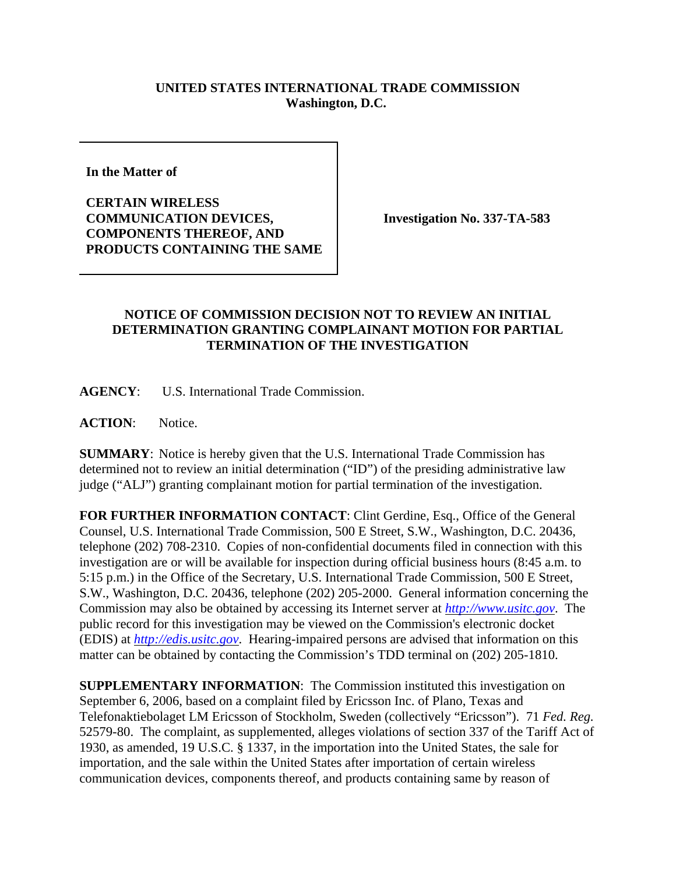## **UNITED STATES INTERNATIONAL TRADE COMMISSION Washington, D.C.**

**In the Matter of** 

**CERTAIN WIRELESS COMMUNICATION DEVICES, COMPONENTS THEREOF, AND PRODUCTS CONTAINING THE SAME**

**Investigation No. 337-TA-583**

## **NOTICE OF COMMISSION DECISION NOT TO REVIEW AN INITIAL DETERMINATION GRANTING COMPLAINANT MOTION FOR PARTIAL TERMINATION OF THE INVESTIGATION**

**AGENCY**: U.S. International Trade Commission.

**ACTION**: Notice.

**SUMMARY**: Notice is hereby given that the U.S. International Trade Commission has determined not to review an initial determination ("ID") of the presiding administrative law judge ("ALJ") granting complainant motion for partial termination of the investigation.

**FOR FURTHER INFORMATION CONTACT**: Clint Gerdine, Esq., Office of the General Counsel, U.S. International Trade Commission, 500 E Street, S.W., Washington, D.C. 20436, telephone (202) 708-2310. Copies of non-confidential documents filed in connection with this investigation are or will be available for inspection during official business hours (8:45 a.m. to 5:15 p.m.) in the Office of the Secretary, U.S. International Trade Commission, 500 E Street, S.W., Washington, D.C. 20436, telephone (202) 205-2000. General information concerning the Commission may also be obtained by accessing its Internet server at *http://www.usitc.gov*. The public record for this investigation may be viewed on the Commission's electronic docket (EDIS) at *http://edis.usitc.gov*. Hearing-impaired persons are advised that information on this matter can be obtained by contacting the Commission's TDD terminal on (202) 205-1810.

**SUPPLEMENTARY INFORMATION**: The Commission instituted this investigation on September 6, 2006, based on a complaint filed by Ericsson Inc. of Plano, Texas and Telefonaktiebolaget LM Ericsson of Stockholm, Sweden (collectively "Ericsson"). 71 *Fed. Reg.* 52579-80. The complaint, as supplemented, alleges violations of section 337 of the Tariff Act of 1930, as amended, 19 U.S.C. § 1337, in the importation into the United States, the sale for importation, and the sale within the United States after importation of certain wireless communication devices, components thereof, and products containing same by reason of